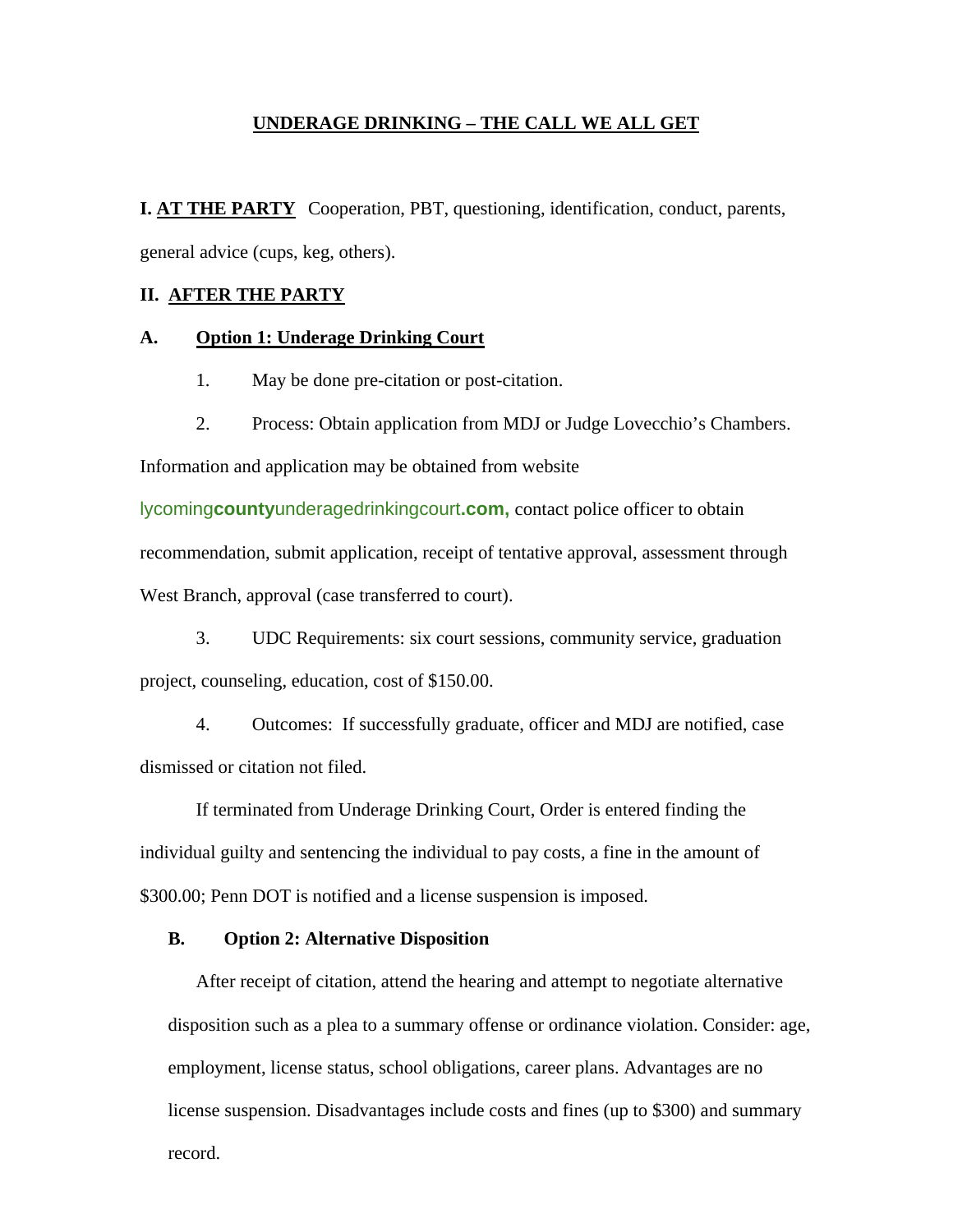# **UNDERAGE DRINKING – THE CALL WE ALL GET**

**I. AT THE PARTY** Cooperation, PBT, questioning, identification, conduct, parents, general advice (cups, keg, others).

# **II. AFTER THE PARTY**

# **A. Option 1: Underage Drinking Court**

- 1. May be done pre-citation or post-citation.
- 2. Process: Obtain application from MDJ or Judge Lovecchio's Chambers.

Information and application may be obtained from website

lycoming**county**underagedrinkingcourt**.com,** contact police officer to obtain recommendation, submit application, receipt of tentative approval, assessment through West Branch, approval (case transferred to court).

 3. UDC Requirements: six court sessions, community service, graduation project, counseling, education, cost of \$150.00.

 4. Outcomes: If successfully graduate, officer and MDJ are notified, case dismissed or citation not filed.

 If terminated from Underage Drinking Court, Order is entered finding the individual guilty and sentencing the individual to pay costs, a fine in the amount of \$300.00; Penn DOT is notified and a license suspension is imposed.

# **B. Option 2: Alternative Disposition**

 After receipt of citation, attend the hearing and attempt to negotiate alternative disposition such as a plea to a summary offense or ordinance violation. Consider: age, employment, license status, school obligations, career plans. Advantages are no license suspension. Disadvantages include costs and fines (up to \$300) and summary record.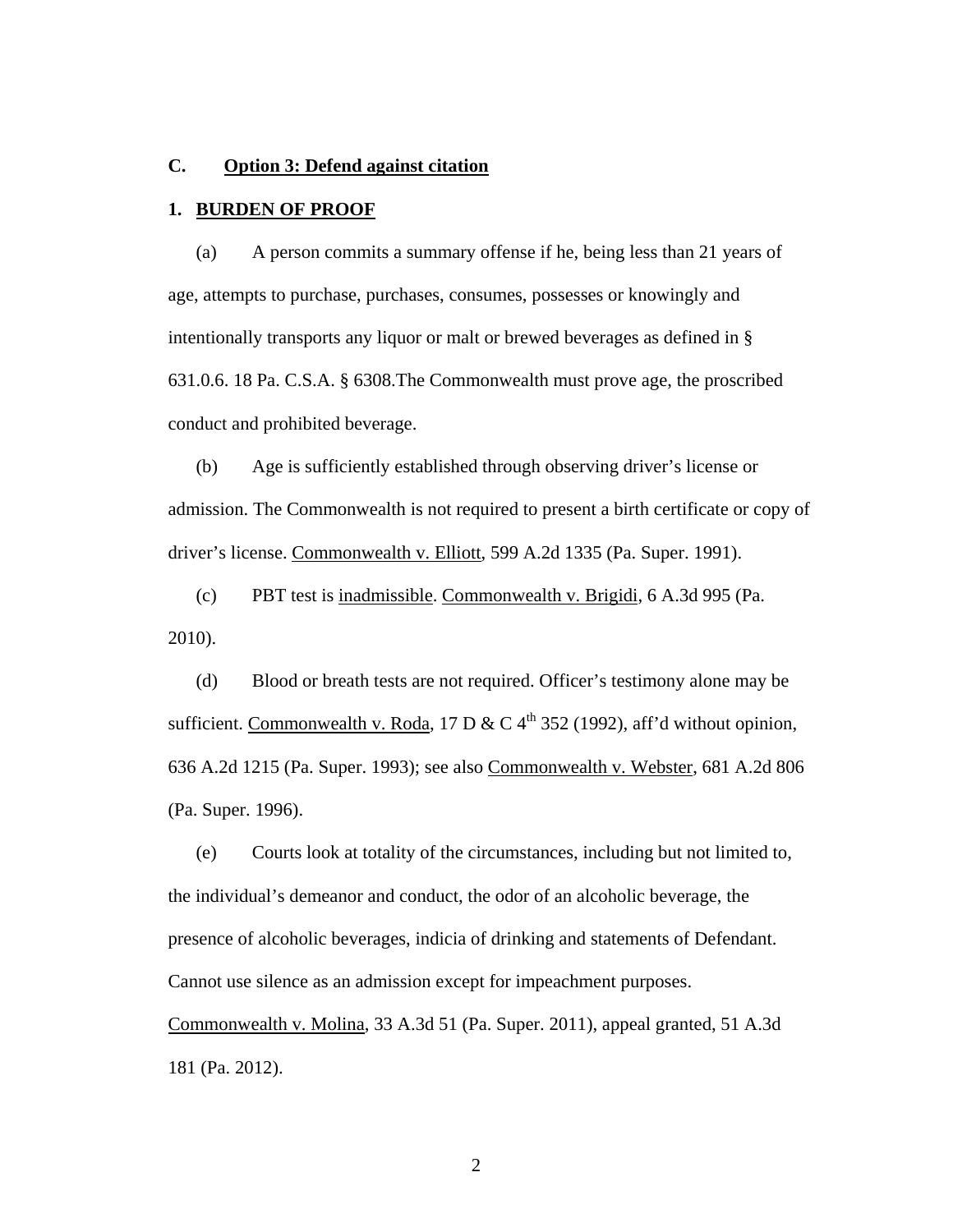# **C. Option 3: Defend against citation**

### **1. BURDEN OF PROOF**

 (a) A person commits a summary offense if he, being less than 21 years of age, attempts to purchase, purchases, consumes, possesses or knowingly and intentionally transports any liquor or malt or brewed beverages as defined in § 631.0.6. 18 Pa. C.S.A. § 6308.The Commonwealth must prove age, the proscribed conduct and prohibited beverage.

 (b) Age is sufficiently established through observing driver's license or admission. The Commonwealth is not required to present a birth certificate or copy of driver's license. Commonwealth v. Elliott, 599 A.2d 1335 (Pa. Super. 1991).

 (c) PBT test is inadmissible. Commonwealth v. Brigidi, 6 A.3d 995 (Pa. 2010).

 (d) Blood or breath tests are not required. Officer's testimony alone may be sufficient. Commonwealth v. Roda, 17 D & C  $4<sup>th</sup>$  352 (1992), aff'd without opinion, 636 A.2d 1215 (Pa. Super. 1993); see also Commonwealth v. Webster, 681 A.2d 806 (Pa. Super. 1996).

 (e) Courts look at totality of the circumstances, including but not limited to, the individual's demeanor and conduct, the odor of an alcoholic beverage, the presence of alcoholic beverages, indicia of drinking and statements of Defendant. Cannot use silence as an admission except for impeachment purposes. Commonwealth v. Molina, 33 A.3d 51 (Pa. Super. 2011), appeal granted, 51 A.3d 181 (Pa. 2012).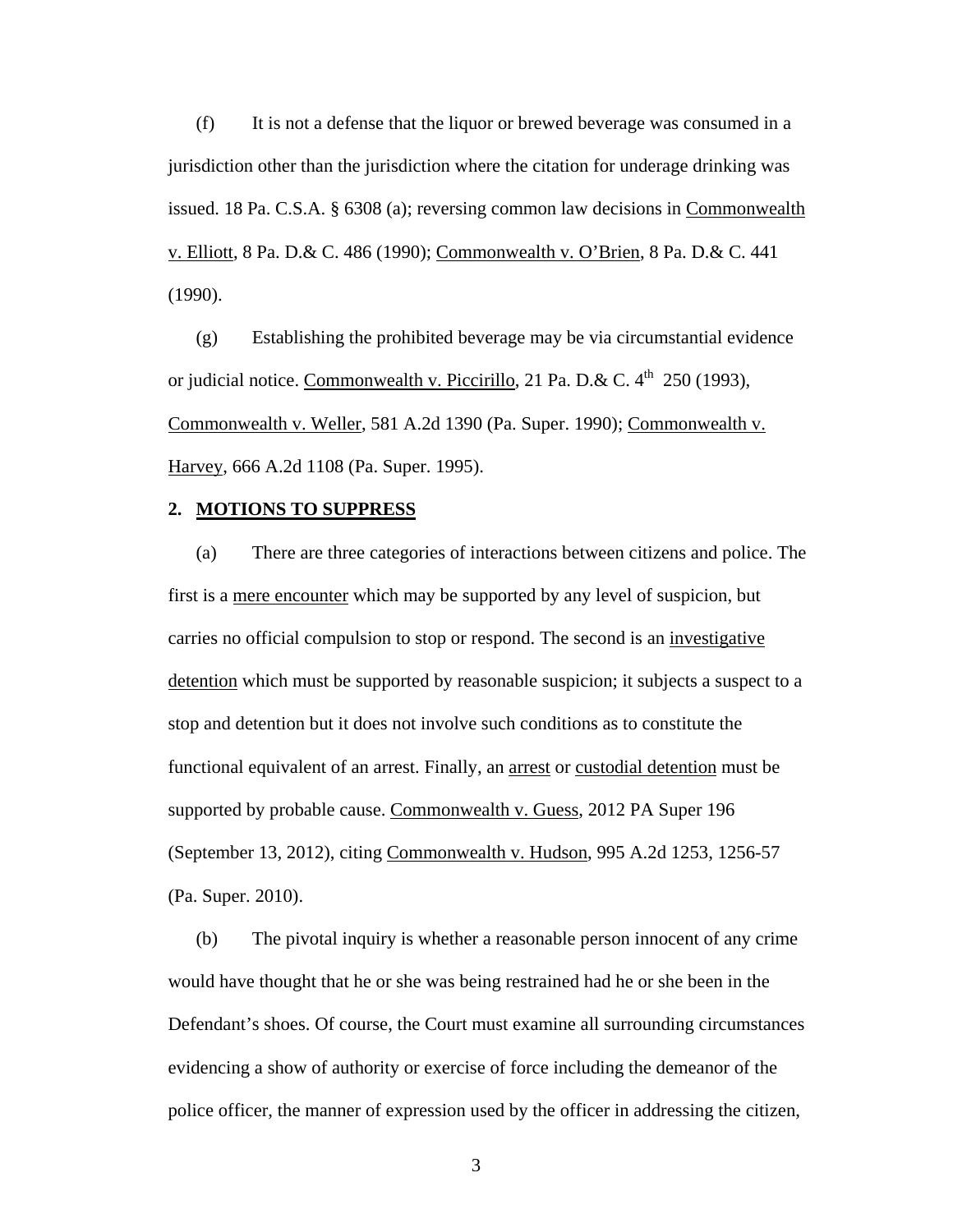(f) It is not a defense that the liquor or brewed beverage was consumed in a jurisdiction other than the jurisdiction where the citation for underage drinking was issued. 18 Pa. C.S.A. § 6308 (a); reversing common law decisions in Commonwealth v. Elliott, 8 Pa. D.& C. 486 (1990); Commonwealth v. O'Brien, 8 Pa. D.& C. 441 (1990).

 (g) Establishing the prohibited beverage may be via circumstantial evidence or judicial notice. Commonwealth v. Piccirillo, 21 Pa. D.& C.  $4^{\text{th}}$  250 (1993), Commonwealth v. Weller, 581 A.2d 1390 (Pa. Super. 1990); Commonwealth v. Harvey, 666 A.2d 1108 (Pa. Super. 1995).

#### **2. MOTIONS TO SUPPRESS**

 (a) There are three categories of interactions between citizens and police. The first is a mere encounter which may be supported by any level of suspicion, but carries no official compulsion to stop or respond. The second is an investigative detention which must be supported by reasonable suspicion; it subjects a suspect to a stop and detention but it does not involve such conditions as to constitute the functional equivalent of an arrest. Finally, an arrest or custodial detention must be supported by probable cause. Commonwealth v. Guess, 2012 PA Super 196 (September 13, 2012), citing Commonwealth v. Hudson, 995 A.2d 1253, 1256-57 (Pa. Super. 2010).

 (b) The pivotal inquiry is whether a reasonable person innocent of any crime would have thought that he or she was being restrained had he or she been in the Defendant's shoes. Of course, the Court must examine all surrounding circumstances evidencing a show of authority or exercise of force including the demeanor of the police officer, the manner of expression used by the officer in addressing the citizen,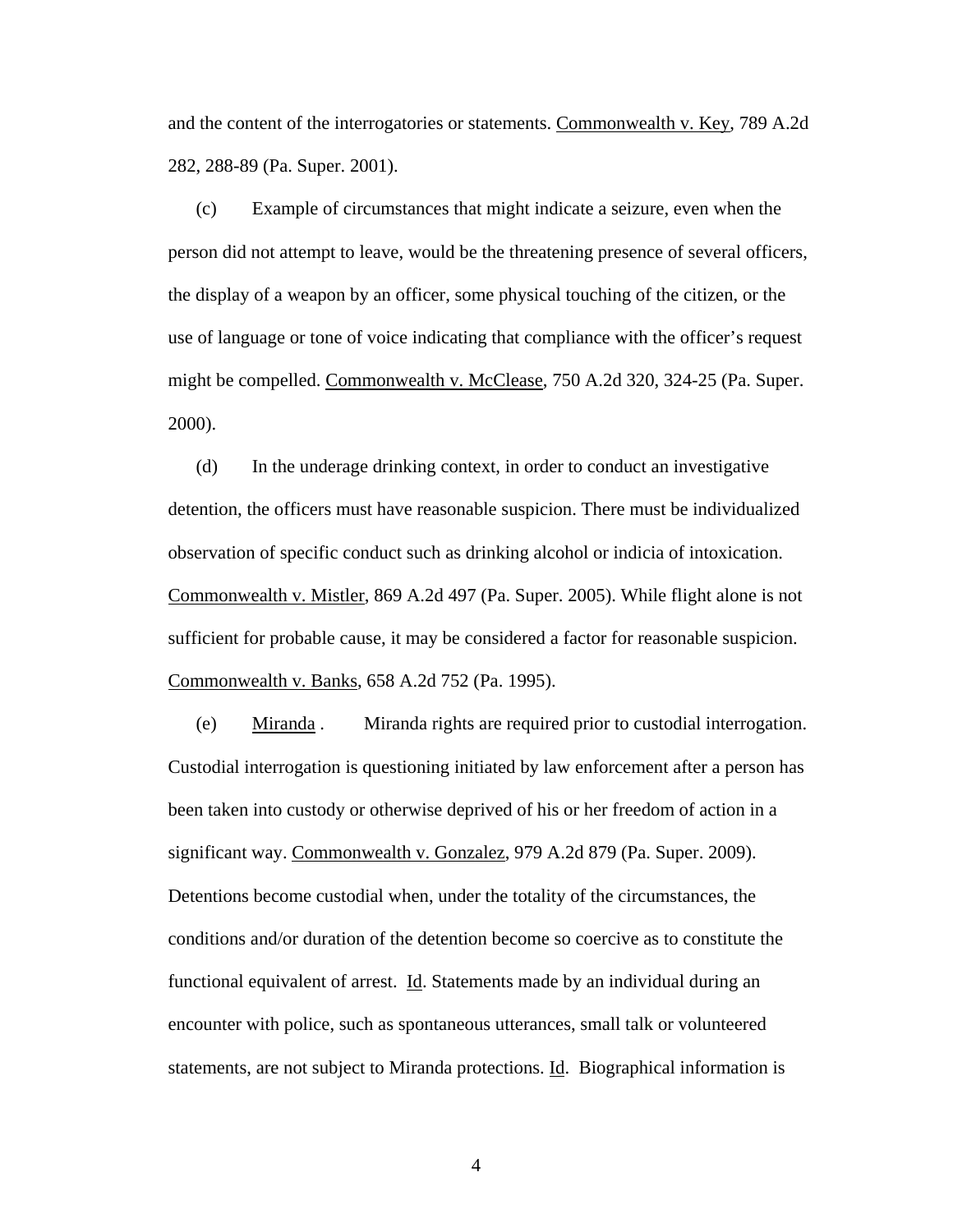and the content of the interrogatories or statements. Commonwealth v. Key, 789 A.2d 282, 288-89 (Pa. Super. 2001).

 (c) Example of circumstances that might indicate a seizure, even when the person did not attempt to leave, would be the threatening presence of several officers, the display of a weapon by an officer, some physical touching of the citizen, or the use of language or tone of voice indicating that compliance with the officer's request might be compelled. Commonwealth v. McClease, 750 A.2d 320, 324-25 (Pa. Super. 2000).

 (d) In the underage drinking context, in order to conduct an investigative detention, the officers must have reasonable suspicion. There must be individualized observation of specific conduct such as drinking alcohol or indicia of intoxication. Commonwealth v. Mistler, 869 A.2d 497 (Pa. Super. 2005). While flight alone is not sufficient for probable cause, it may be considered a factor for reasonable suspicion. Commonwealth v. Banks, 658 A.2d 752 (Pa. 1995).

 (e) Miranda . Miranda rights are required prior to custodial interrogation. Custodial interrogation is questioning initiated by law enforcement after a person has been taken into custody or otherwise deprived of his or her freedom of action in a significant way. Commonwealth v. Gonzalez, 979 A.2d 879 (Pa. Super. 2009). Detentions become custodial when, under the totality of the circumstances, the conditions and/or duration of the detention become so coercive as to constitute the functional equivalent of arrest. Id. Statements made by an individual during an encounter with police, such as spontaneous utterances, small talk or volunteered statements, are not subject to Miranda protections. Id. Biographical information is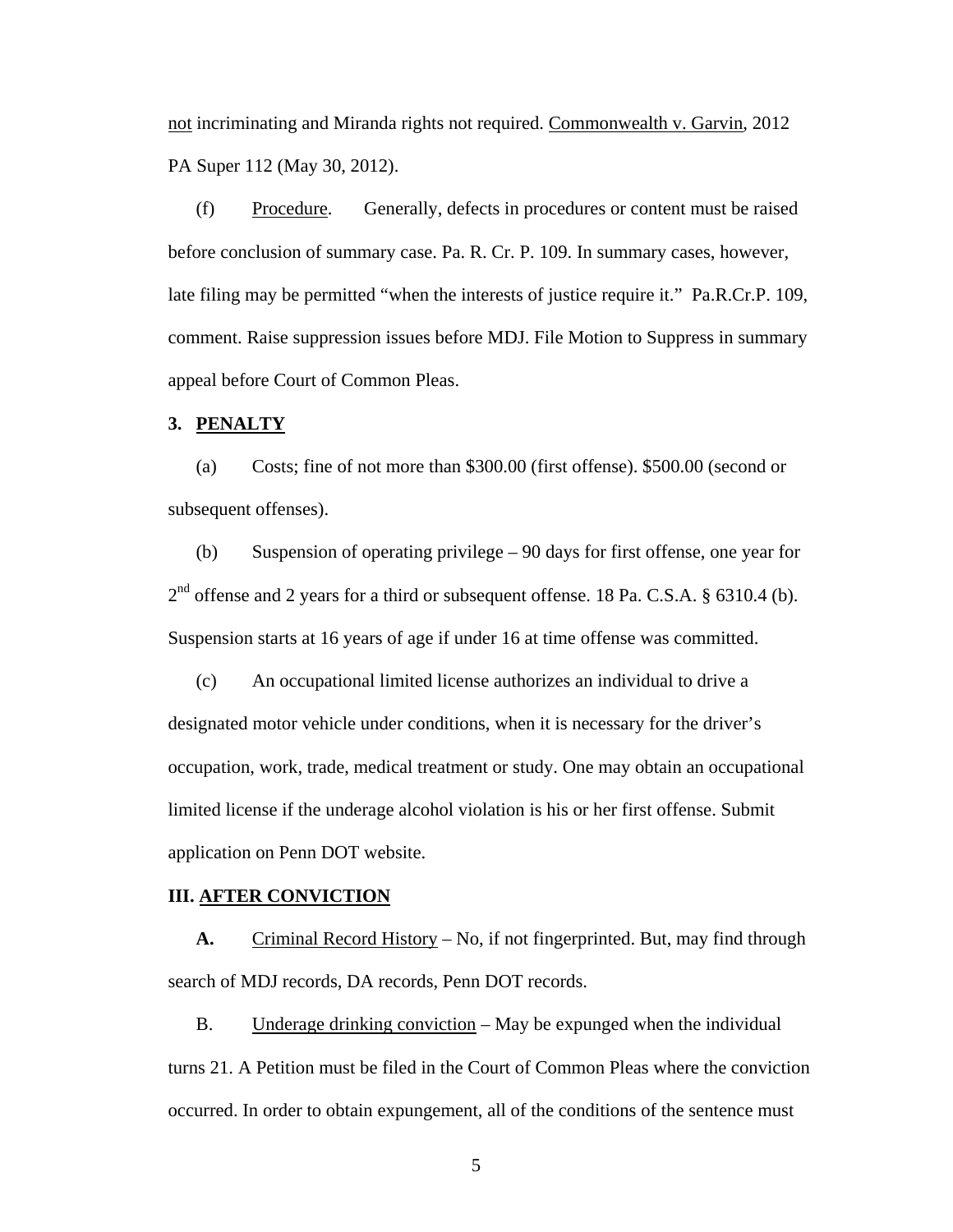not incriminating and Miranda rights not required. Commonwealth v. Garvin, 2012 PA Super 112 (May 30, 2012).

 (f) Procedure. Generally, defects in procedures or content must be raised before conclusion of summary case. Pa. R. Cr. P. 109. In summary cases, however, late filing may be permitted "when the interests of justice require it." Pa.R.Cr.P. 109, comment. Raise suppression issues before MDJ. File Motion to Suppress in summary appeal before Court of Common Pleas.

### **3. PENALTY**

 (a) Costs; fine of not more than \$300.00 (first offense). \$500.00 (second or subsequent offenses).

 (b) Suspension of operating privilege – 90 days for first offense, one year for  $2<sup>nd</sup>$  offense and 2 years for a third or subsequent offense. 18 Pa. C.S.A. § 6310.4 (b). Suspension starts at 16 years of age if under 16 at time offense was committed.

 (c) An occupational limited license authorizes an individual to drive a designated motor vehicle under conditions, when it is necessary for the driver's occupation, work, trade, medical treatment or study. One may obtain an occupational limited license if the underage alcohol violation is his or her first offense. Submit application on Penn DOT website.

#### **III. AFTER CONVICTION**

 **A.** Criminal Record History – No, if not fingerprinted. But, may find through search of MDJ records, DA records, Penn DOT records.

 B. Underage drinking conviction – May be expunged when the individual turns 21. A Petition must be filed in the Court of Common Pleas where the conviction occurred. In order to obtain expungement, all of the conditions of the sentence must